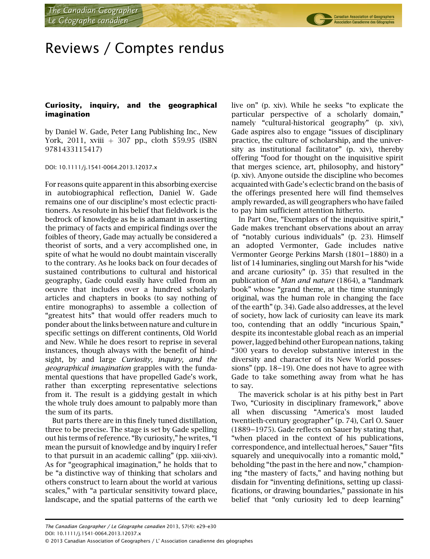## Reviews / Comptes rendus

## Curiosity, inquiry, and the geographical imagination

by Daniel W. Gade, Peter Lang Publishing Inc., New York, 2011, xviii + 307 pp., cloth  $$59.95$  (ISBN 9781433115417)

DOI: 10.1111/j.1541-0064.2013.12037.x

For reasons quite apparent in this absorbing exercise in autobiographical reflection, Daniel W. Gade remains one of our discipline's most eclectic practitioners. As resolute in his belief that fieldwork is the bedrock of knowledge as he is adamant in asserting the primacy of facts and empirical findings over the foibles of theory, Gade may actually be considered a theorist of sorts, and a very accomplished one, in spite of what he would no doubt maintain viscerally to the contrary. As he looks back on four decades of sustained contributions to cultural and historical geography, Gade could easily have culled from an oeuvre that includes over a hundred scholarly articles and chapters in books (to say nothing of entire monographs) to assemble a collection of "greatest hits" that would offer readers much to ponder about the links between nature and culture in specific settings on different continents, Old World and New. While he does resort to reprise in several instances, though always with the benefit of hindsight, by and large Curiosity, inquiry, and the geographical imagination grapples with the fundamental questions that have propelled Gade's work, rather than excerpting representative selections from it. The result is a giddying gestalt in which the whole truly does amount to palpably more than the sum of its parts.

But parts there are in this finely tuned distillation, three to be precise. The stage is set by Gade spelling out his terms of reference. "By curiosity," he writes, "I mean the pursuit of knowledge and by inquiry I refer to that pursuit in an academic calling" (pp. xiii-xiv). As for "geographical imagination," he holds that to be "a distinctive way of thinking that scholars and others construct to learn about the world at various scales," with "a particular sensitivity toward place, landscape, and the spatial patterns of the earth we

live on" (p. xiv). While he seeks "to explicate the particular perspective of a scholarly domain," namely "cultural-historical geography" (p. xiv), Gade aspires also to engage "issues of disciplinary practice, the culture of scholarship, and the university as institutional facilitator" (p. xiv), thereby offering "food for thought on the inquisitive spirit that merges science, art, philosophy, and history" (p. xiv). Anyone outside the discipline who becomes acquainted with Gade's eclectic brand on the basis of the offerings presented here will find themselves amply rewarded, as will geographers who have failed to pay him sufficient attention hitherto.

In Part One, "Exemplars of the inquisitive spirit," Gade makes trenchant observations about an array of "notably curious individuals" (p. 23). Himself an adopted Vermonter, Gade includes native Vermonter George Perkins Marsh (1801–1880) in a list of 14 luminaries, singling out Marsh for his "wide and arcane curiosity" (p. 35) that resulted in the publication of Man and nature (1864), a "landmark book" whose "grand theme, at the time stunningly original, was the human role in changing the face of the earth" (p. 34). Gade also addresses, at the level of society, how lack of curiosity can leave its mark too, contending that an oddly "incurious Spain," despite its incontestable global reach as an imperial power, lagged behind other European nations, taking "300 years to develop substantive interest in the diversity and character of its New World possessions" (pp.  $18-19$ ). One does not have to agree with Gade to take something away from what he has to say.

The maverick scholar is at his pithy best in Part Two, "Curiosity in disciplinary framework," above all when discussing "America's most lauded twentieth-century geographer" (p. 74), Carl O. Sauer (1889––1975). Gade reflects on Sauer by stating that, "when placed in the context of his publications, correspondence, and intellectual heroes," Sauer "fits squarely and unequivocally into a romantic mold," beholding "the past in the here and now," championing "the mastery of facts," and having nothing but disdain for "inventing definitions, setting up classifications, or drawing boundaries," passionate in his belief that "only curiosity led to deep learning"